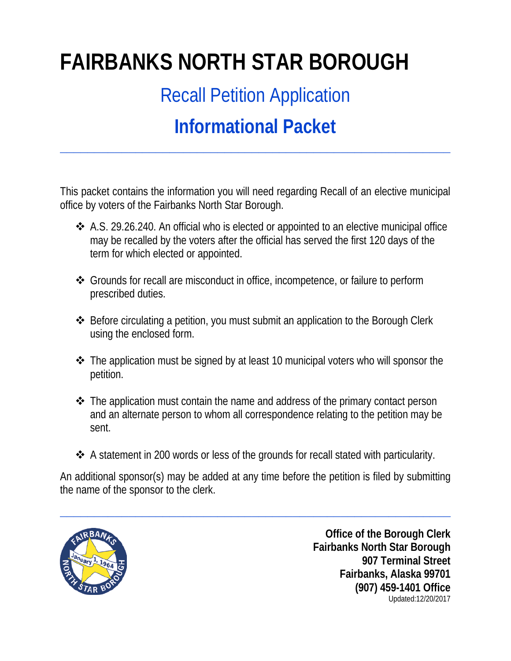# **FAIRBANKS NORTH STAR BOROUGH**

Recall Petition Application

## **Informational Packet**

**\_\_\_\_\_\_\_\_\_\_\_\_\_\_\_\_\_\_\_\_\_\_\_\_\_\_\_\_\_\_\_\_\_\_\_\_\_\_\_\_\_\_\_\_\_\_\_\_\_\_\_\_\_\_\_\_\_**

This packet contains the information you will need regarding Recall of an elective municipal office by voters of the Fairbanks North Star Borough.

- A.S. 29.26.240. An official who is elected or appointed to an elective municipal office may be recalled by the voters after the official has served the first 120 days of the term for which elected or appointed.
- Grounds for recall are misconduct in office, incompetence, or failure to perform prescribed duties.
- Before circulating a petition, you must submit an application to the Borough Clerk using the enclosed form.
- The application must be signed by at least 10 municipal voters who will sponsor the petition.
- $\cdot$  The application must contain the name and address of the primary contact person and an alternate person to whom all correspondence relating to the petition may be sent.
- A statement in 200 words or less of the grounds for recall stated with particularity.

An additional sponsor(s) may be added at any time before the petition is filed by submitting the name of the sponsor to the clerk.

**\_\_\_\_\_\_\_\_\_\_\_\_\_\_\_\_\_\_\_\_\_\_\_\_\_\_\_\_\_\_\_\_\_\_\_\_\_\_\_\_\_\_\_\_\_\_\_\_\_\_\_\_\_\_\_\_\_**



**Office of the Borough Clerk Fairbanks North Star Borough 907 Terminal Street Fairbanks, Alaska 99701 (907) 459-1401 Office** Updated:12/20/2017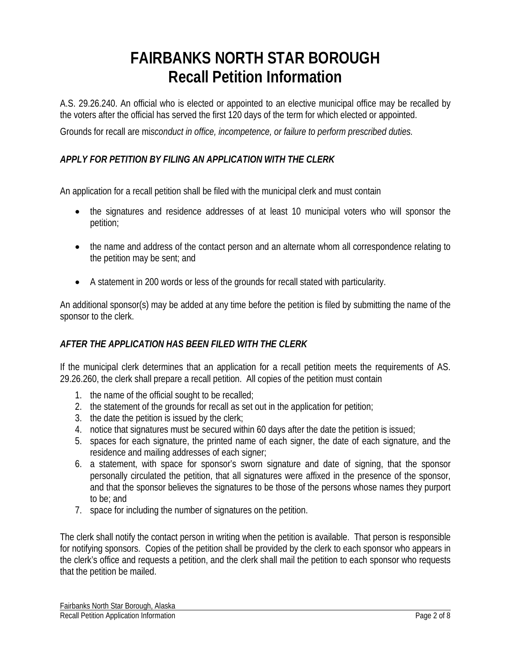## **FAIRBANKS NORTH STAR BOROUGH Recall Petition Information**

A.S. 29.26.240. An official who is elected or appointed to an elective municipal office may be recalled by the voters after the official has served the first 120 days of the term for which elected or appointed.

Grounds for recall are mi*sconduct in office, incompetence, or failure to perform prescribed duties.*

#### *APPLY FOR PETITION BY FILING AN APPLICATION WITH THE CLERK*

An application for a recall petition shall be filed with the municipal clerk and must contain

- the signatures and residence addresses of at least 10 municipal voters who will sponsor the petition;
- the name and address of the contact person and an alternate whom all correspondence relating to the petition may be sent; and
- A statement in 200 words or less of the grounds for recall stated with particularity.

An additional sponsor(s) may be added at any time before the petition is filed by submitting the name of the sponsor to the clerk.

#### *AFTER THE APPLICATION HAS BEEN FILED WITH THE CLERK*

If the municipal clerk determines that an application for a recall petition meets the requirements of AS. 29.26.260, the clerk shall prepare a recall petition. All copies of the petition must contain

- 1. the name of the official sought to be recalled;
- 2. the statement of the grounds for recall as set out in the application for petition;
- 3. the date the petition is issued by the clerk;
- 4. notice that signatures must be secured within 60 days after the date the petition is issued;
- 5. spaces for each signature, the printed name of each signer, the date of each signature, and the residence and mailing addresses of each signer;
- 6. a statement, with space for sponsor's sworn signature and date of signing, that the sponsor personally circulated the petition, that all signatures were affixed in the presence of the sponsor, and that the sponsor believes the signatures to be those of the persons whose names they purport to be; and
- 7. space for including the number of signatures on the petition.

The clerk shall notify the contact person in writing when the petition is available. That person is responsible for notifying sponsors. Copies of the petition shall be provided by the clerk to each sponsor who appears in the clerk's office and requests a petition, and the clerk shall mail the petition to each sponsor who requests that the petition be mailed.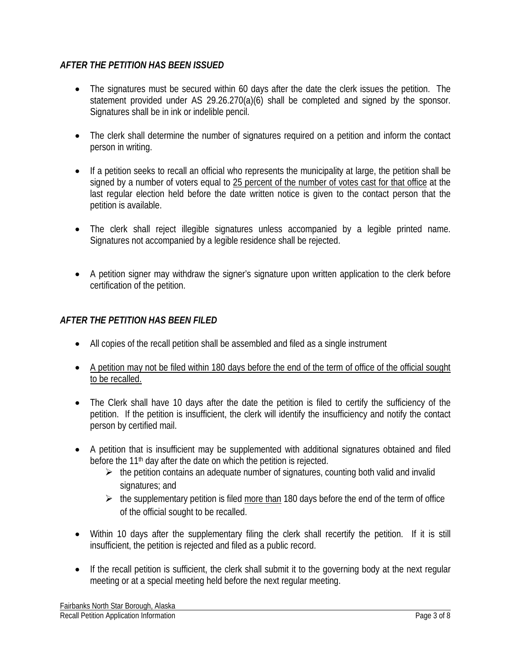#### *AFTER THE PETITION HAS BEEN ISSUED*

- The signatures must be secured within 60 days after the date the clerk issues the petition. The statement provided under AS 29.26.270(a)(6) shall be completed and signed by the sponsor. Signatures shall be in ink or indelible pencil.
- The clerk shall determine the number of signatures required on a petition and inform the contact person in writing.
- If a petition seeks to recall an official who represents the municipality at large, the petition shall be signed by a number of voters equal to 25 percent of the number of votes cast for that office at the last regular election held before the date written notice is given to the contact person that the petition is available.
- The clerk shall reject illegible signatures unless accompanied by a legible printed name. Signatures not accompanied by a legible residence shall be rejected.
- A petition signer may withdraw the signer's signature upon written application to the clerk before certification of the petition.

#### *AFTER THE PETITION HAS BEEN FILED*

- All copies of the recall petition shall be assembled and filed as a single instrument
- A petition may not be filed within 180 days before the end of the term of office of the official sought to be recalled.
- The Clerk shall have 10 days after the date the petition is filed to certify the sufficiency of the petition. If the petition is insufficient, the clerk will identify the insufficiency and notify the contact person by certified mail.
- A petition that is insufficient may be supplemented with additional signatures obtained and filed before the 11<sup>th</sup> day after the date on which the petition is rejected.
	- $\triangleright$  the petition contains an adequate number of signatures, counting both valid and invalid signatures; and
	- $\triangleright$  the supplementary petition is filed more than 180 days before the end of the term of office of the official sought to be recalled.
- Within 10 days after the supplementary filing the clerk shall recertify the petition. If it is still insufficient, the petition is rejected and filed as a public record.
- If the recall petition is sufficient, the clerk shall submit it to the governing body at the next regular meeting or at a special meeting held before the next regular meeting.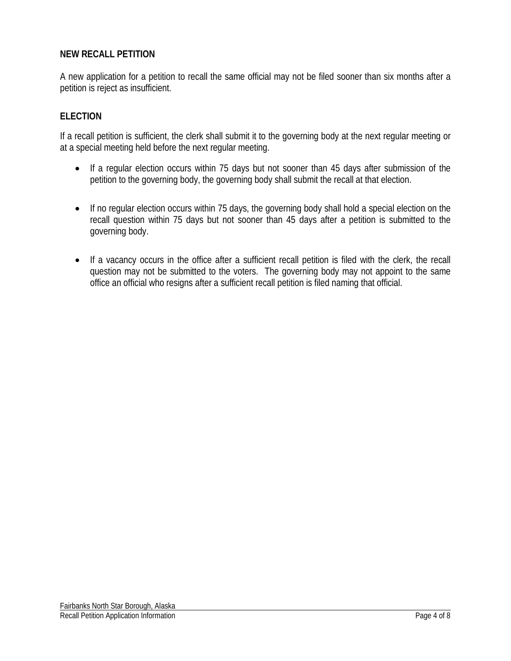#### **NEW RECALL PETITION**

A new application for a petition to recall the same official may not be filed sooner than six months after a petition is reject as insufficient.

#### **ELECTION**

If a recall petition is sufficient, the clerk shall submit it to the governing body at the next regular meeting or at a special meeting held before the next regular meeting.

- If a regular election occurs within 75 days but not sooner than 45 days after submission of the petition to the governing body, the governing body shall submit the recall at that election.
- If no regular election occurs within 75 days, the governing body shall hold a special election on the recall question within 75 days but not sooner than 45 days after a petition is submitted to the governing body.
- If a vacancy occurs in the office after a sufficient recall petition is filed with the clerk, the recall question may not be submitted to the voters. The governing body may not appoint to the same office an official who resigns after a sufficient recall petition is filed naming that official.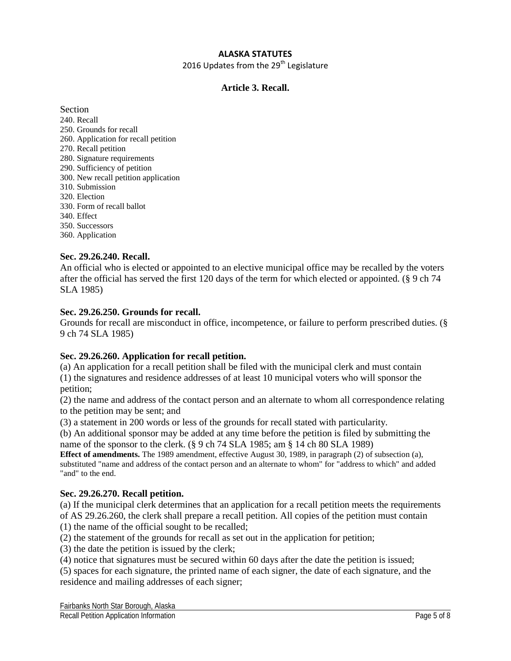#### **ALASKA STATUTES**

2016 Updates from the  $29<sup>th</sup>$  Legislature

#### **Article 3. Recall.**

Section 240. Recall 250. Grounds for recall 260. Application for recall petition 270. Recall petition 280. Signature requirements 290. Sufficiency of petition 300. New recall petition application 310. Submission 320. Election 330. Form of recall ballot 340. Effect 350. Successors

360. Application

#### **Sec. 29.26.240. Recall.**

An official who is elected or appointed to an elective municipal office may be recalled by the voters after the official has served the first 120 days of the term for which elected or appointed. (§ 9 ch 74 SLA 1985)

#### **Sec. 29.26.250. Grounds for recall.**

Grounds for recall are misconduct in office, incompetence, or failure to perform prescribed duties. (§ 9 ch 74 SLA 1985)

#### **Sec. 29.26.260. Application for recall petition.**

(a) An application for a recall petition shall be filed with the municipal clerk and must contain (1) the signatures and residence addresses of at least 10 municipal voters who will sponsor the petition;

(2) the name and address of the contact person and an alternate to whom all correspondence relating to the petition may be sent; and

(3) a statement in 200 words or less of the grounds for recall stated with particularity.

(b) An additional sponsor may be added at any time before the petition is filed by submitting the name of the sponsor to the clerk. (§ 9 ch 74 SLA 1985; am § 14 ch 80 SLA 1989)

**Effect of amendments.** The 1989 amendment, effective August 30, 1989, in paragraph (2) of subsection (a), substituted "name and address of the contact person and an alternate to whom" for "address to which" and added "and" to the end.

#### **Sec. 29.26.270. Recall petition.**

(a) If the municipal clerk determines that an application for a recall petition meets the requirements of AS 29.26.260, the clerk shall prepare a recall petition. All copies of the petition must contain (1) the name of the official sought to be recalled;

(2) the statement of the grounds for recall as set out in the application for petition;

(3) the date the petition is issued by the clerk;

(4) notice that signatures must be secured within 60 days after the date the petition is issued;

(5) spaces for each signature, the printed name of each signer, the date of each signature, and the residence and mailing addresses of each signer;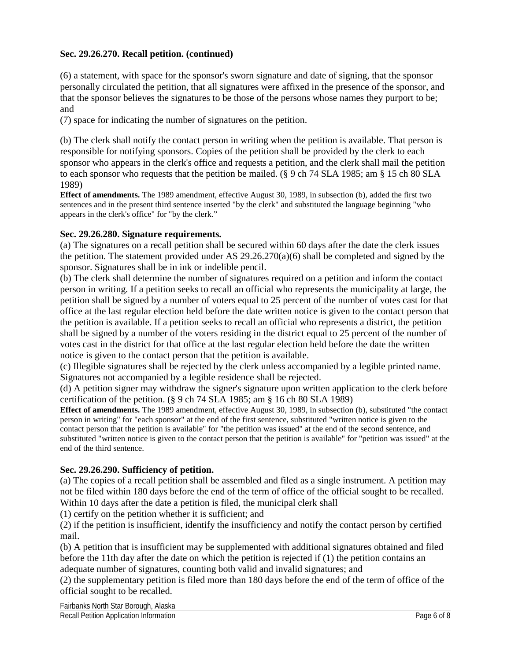#### **Sec. 29.26.270. Recall petition. (continued)**

(6) a statement, with space for the sponsor's sworn signature and date of signing, that the sponsor personally circulated the petition, that all signatures were affixed in the presence of the sponsor, and that the sponsor believes the signatures to be those of the persons whose names they purport to be; and

(7) space for indicating the number of signatures on the petition.

(b) The clerk shall notify the contact person in writing when the petition is available. That person is responsible for notifying sponsors. Copies of the petition shall be provided by the clerk to each sponsor who appears in the clerk's office and requests a petition, and the clerk shall mail the petition to each sponsor who requests that the petition be mailed. (§ 9 ch 74 SLA 1985; am § 15 ch 80 SLA 1989)

**Effect of amendments.** The 1989 amendment, effective August 30, 1989, in subsection (b), added the first two sentences and in the present third sentence inserted "by the clerk" and substituted the language beginning "who appears in the clerk's office" for "by the clerk."

#### **Sec. 29.26.280. Signature requirements.**

(a) The signatures on a recall petition shall be secured within 60 days after the date the clerk issues the petition. The statement provided under AS 29.26.270(a)(6) shall be completed and signed by the sponsor. Signatures shall be in ink or indelible pencil.

(b) The clerk shall determine the number of signatures required on a petition and inform the contact person in writing. If a petition seeks to recall an official who represents the municipality at large, the petition shall be signed by a number of voters equal to 25 percent of the number of votes cast for that office at the last regular election held before the date written notice is given to the contact person that the petition is available. If a petition seeks to recall an official who represents a district, the petition shall be signed by a number of the voters residing in the district equal to 25 percent of the number of votes cast in the district for that office at the last regular election held before the date the written notice is given to the contact person that the petition is available.

(c) Illegible signatures shall be rejected by the clerk unless accompanied by a legible printed name. Signatures not accompanied by a legible residence shall be rejected.

(d) A petition signer may withdraw the signer's signature upon written application to the clerk before certification of the petition. (§ 9 ch 74 SLA 1985; am § 16 ch 80 SLA 1989)

**Effect of amendments.** The 1989 amendment, effective August 30, 1989, in subsection (b), substituted "the contact person in writing" for "each sponsor" at the end of the first sentence, substituted "written notice is given to the contact person that the petition is available" for "the petition was issued" at the end of the second sentence, and substituted "written notice is given to the contact person that the petition is available" for "petition was issued" at the end of the third sentence.

#### **Sec. 29.26.290. Sufficiency of petition.**

(a) The copies of a recall petition shall be assembled and filed as a single instrument. A petition may not be filed within 180 days before the end of the term of office of the official sought to be recalled. Within 10 days after the date a petition is filed, the municipal clerk shall

(1) certify on the petition whether it is sufficient; and

(2) if the petition is insufficient, identify the insufficiency and notify the contact person by certified mail.

(b) A petition that is insufficient may be supplemented with additional signatures obtained and filed before the 11th day after the date on which the petition is rejected if (1) the petition contains an adequate number of signatures, counting both valid and invalid signatures; and

(2) the supplementary petition is filed more than 180 days before the end of the term of office of the official sought to be recalled.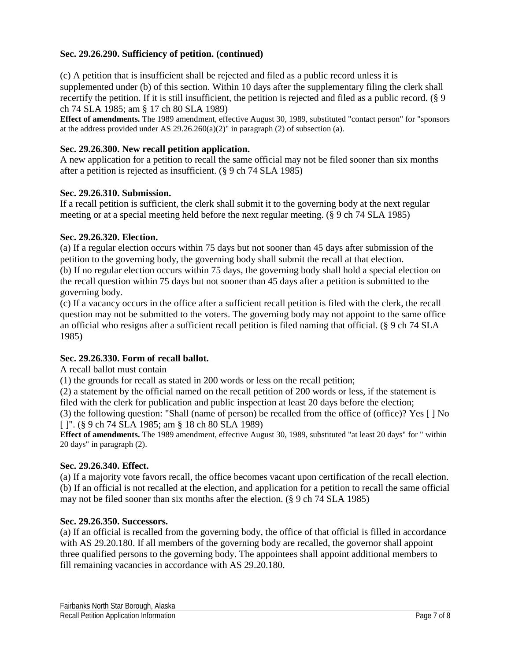#### **Sec. 29.26.290. Sufficiency of petition. (continued)**

(c) A petition that is insufficient shall be rejected and filed as a public record unless it is supplemented under (b) of this section. Within 10 days after the supplementary filing the clerk shall recertify the petition. If it is still insufficient, the petition is rejected and filed as a public record. (§ 9 ch 74 SLA 1985; am § 17 ch 80 SLA 1989)

**Effect of amendments.** The 1989 amendment, effective August 30, 1989, substituted "contact person" for "sponsors at the address provided under AS 29.26.260(a)(2)" in paragraph (2) of subsection (a).

#### **Sec. 29.26.300. New recall petition application.**

A new application for a petition to recall the same official may not be filed sooner than six months after a petition is rejected as insufficient. (§ 9 ch 74 SLA 1985)

#### **Sec. 29.26.310. Submission.**

If a recall petition is sufficient, the clerk shall submit it to the governing body at the next regular meeting or at a special meeting held before the next regular meeting. (§ 9 ch 74 SLA 1985)

#### **Sec. 29.26.320. Election.**

(a) If a regular election occurs within 75 days but not sooner than 45 days after submission of the petition to the governing body, the governing body shall submit the recall at that election. (b) If no regular election occurs within 75 days, the governing body shall hold a special election on the recall question within 75 days but not sooner than 45 days after a petition is submitted to the governing body.

(c) If a vacancy occurs in the office after a sufficient recall petition is filed with the clerk, the recall question may not be submitted to the voters. The governing body may not appoint to the same office an official who resigns after a sufficient recall petition is filed naming that official. (§ 9 ch 74 SLA 1985)

#### **Sec. 29.26.330. Form of recall ballot.**

A recall ballot must contain

(1) the grounds for recall as stated in 200 words or less on the recall petition;

(2) a statement by the official named on the recall petition of 200 words or less, if the statement is filed with the clerk for publication and public inspection at least 20 days before the election;

(3) the following question: "Shall (name of person) be recalled from the office of (office)? Yes [ ] No [ ]". (§ 9 ch 74 SLA 1985; am § 18 ch 80 SLA 1989)

**Effect of amendments.** The 1989 amendment, effective August 30, 1989, substituted "at least 20 days" for " within 20 days" in paragraph (2).

#### **Sec. 29.26.340. Effect.**

(a) If a majority vote favors recall, the office becomes vacant upon certification of the recall election. (b) If an official is not recalled at the election, and application for a petition to recall the same official may not be filed sooner than six months after the election. (§ 9 ch 74 SLA 1985)

#### **Sec. 29.26.350. Successors.**

(a) If an official is recalled from the governing body, the office of that official is filled in accordance with AS 29.20.180. If all members of the governing body are recalled, the governor shall appoint three qualified persons to the governing body. The appointees shall appoint additional members to fill remaining vacancies in accordance with AS 29.20.180.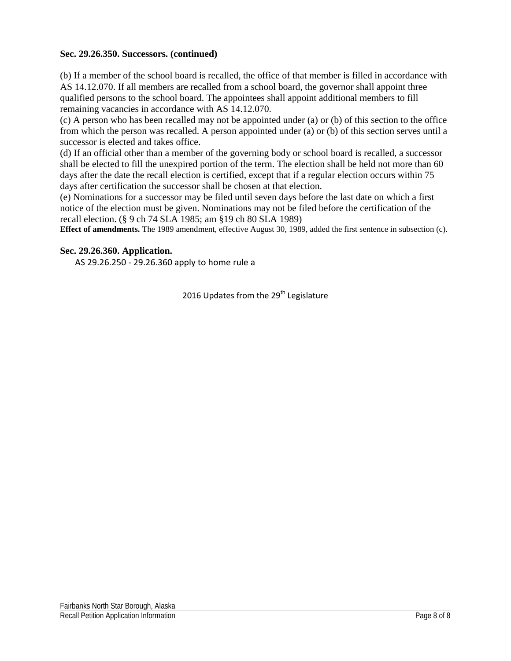#### **Sec. 29.26.350. Successors. (continued)**

(b) If a member of the school board is recalled, the office of that member is filled in accordance with AS 14.12.070. If all members are recalled from a school board, the governor shall appoint three qualified persons to the school board. The appointees shall appoint additional members to fill remaining vacancies in accordance with AS 14.12.070.

(c) A person who has been recalled may not be appointed under (a) or (b) of this section to the office from which the person was recalled. A person appointed under (a) or (b) of this section serves until a successor is elected and takes office.

(d) If an official other than a member of the governing body or school board is recalled, a successor shall be elected to fill the unexpired portion of the term. The election shall be held not more than 60 days after the date the recall election is certified, except that if a regular election occurs within 75 days after certification the successor shall be chosen at that election.

(e) Nominations for a successor may be filed until seven days before the last date on which a first notice of the election must be given. Nominations may not be filed before the certification of the recall election. (§ 9 ch 74 SLA 1985; am §19 ch 80 SLA 1989)

**Effect of amendments.** The 1989 amendment, effective August 30, 1989, added the first sentence in subsection (c).

#### **Sec. 29.26.360. Application.**

AS 29.26.250 - 29.26.360 apply to home rule a

2016 Updates from the 29<sup>th</sup> Legislature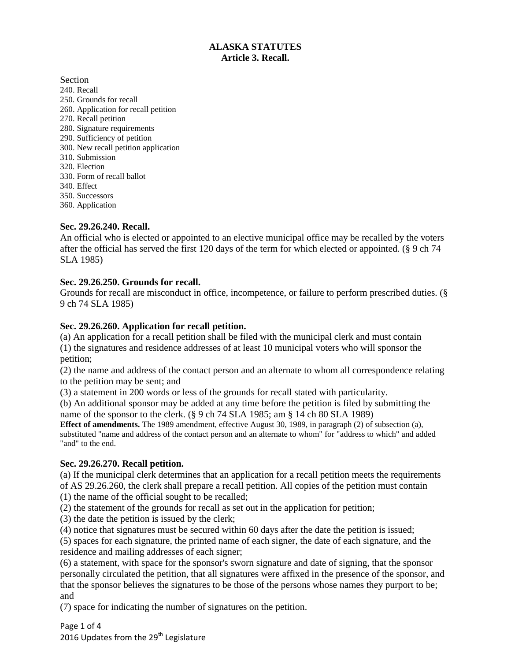#### **ALASKA STATUTES Article 3. Recall.**

Section

- 240. Recall 250. Grounds for recall 260. Application for recall petition 270. Recall petition 280. Signature requirements 290. Sufficiency of petition 300. New recall petition application 310. Submission 320. Election 330. Form of recall ballot 340. Effect 350. Successors
- 360. Application

#### **Sec. 29.26.240. Recall.**

An official who is elected or appointed to an elective municipal office may be recalled by the voters after the official has served the first 120 days of the term for which elected or appointed. (§ 9 ch 74 SLA 1985)

#### **Sec. 29.26.250. Grounds for recall.**

Grounds for recall are misconduct in office, incompetence, or failure to perform prescribed duties. (§ 9 ch 74 SLA 1985)

#### **Sec. 29.26.260. Application for recall petition.**

(a) An application for a recall petition shall be filed with the municipal clerk and must contain (1) the signatures and residence addresses of at least 10 municipal voters who will sponsor the petition;

(2) the name and address of the contact person and an alternate to whom all correspondence relating to the petition may be sent; and

(3) a statement in 200 words or less of the grounds for recall stated with particularity.

(b) An additional sponsor may be added at any time before the petition is filed by submitting the name of the sponsor to the clerk. (§ 9 ch 74 SLA 1985; am § 14 ch 80 SLA 1989)

**Effect of amendments.** The 1989 amendment, effective August 30, 1989, in paragraph (2) of subsection (a), substituted "name and address of the contact person and an alternate to whom" for "address to which" and added "and" to the end.

#### **Sec. 29.26.270. Recall petition.**

(a) If the municipal clerk determines that an application for a recall petition meets the requirements of AS 29.26.260, the clerk shall prepare a recall petition. All copies of the petition must contain

(1) the name of the official sought to be recalled;

(2) the statement of the grounds for recall as set out in the application for petition;

(3) the date the petition is issued by the clerk;

(4) notice that signatures must be secured within 60 days after the date the petition is issued;

(5) spaces for each signature, the printed name of each signer, the date of each signature, and the residence and mailing addresses of each signer;

(6) a statement, with space for the sponsor's sworn signature and date of signing, that the sponsor personally circulated the petition, that all signatures were affixed in the presence of the sponsor, and that the sponsor believes the signatures to be those of the persons whose names they purport to be; and

(7) space for indicating the number of signatures on the petition.

Page 1 of 4 2016 Updates from the 29<sup>th</sup> Legislature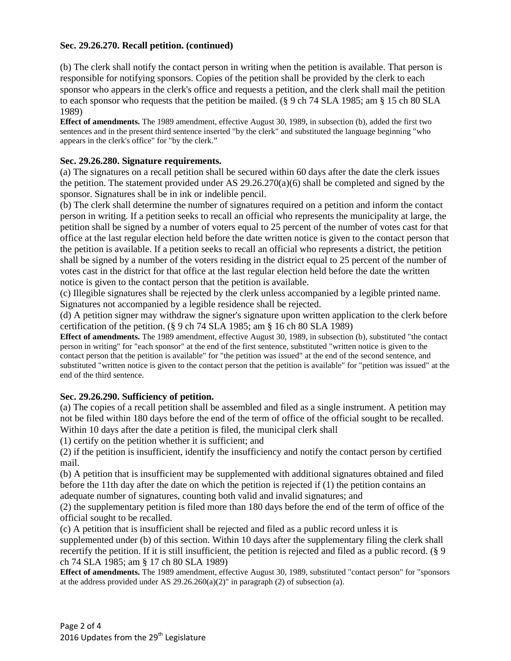#### **Sec. 29.26.270. Recall petition. (continued)**

(b) The clerk shall notify the contact person in writing when the petition is available. That person is responsible for notifying sponsors. Copies of the petition shall be provided by the clerk to each sponsor who appears in the clerk's office and requests a petition, and the clerk shall mail the petition to each sponsor who requests that the petition be mailed. (§ 9 ch 74 SLA 1985; am § 15 ch 80 SLA 1989)

**Effect of amendments.** The 1989 amendment, effective August 30, 1989, in subsection (b), added the first two sentences and in the present third sentence inserted "by the clerk" and substituted the language beginning "who appears in the clerk's office" for "by the clerk."

#### **Sec. 29.26.280. Signature requirements.**

(a) The signatures on a recall petition shall be secured within 60 days after the date the clerk issues the petition. The statement provided under AS 29.26.270(a)(6) shall be completed and signed by the sponsor. Signatures shall be in ink or indelible pencil.

(b) The clerk shall determine the number of signatures required on a petition and inform the contact person in writing. If a petition seeks to recall an official who represents the municipality at large, the petition shall be signed by a number of voters equal to 25 percent of the number of votes cast for that office at the last regular election held before the date written notice is given to the contact person that the petition is available. If a petition seeks to recall an official who represents a district, the petition shall be signed by a number of the voters residing in the district equal to 25 percent of the number of votes cast in the district for that office at the last regular election held before the date the written notice is given to the contact person that the petition is available.

(c) Illegible signatures shall be rejected by the clerk unless accompanied by a legible printed name. Signatures not accompanied by a legible residence shall be rejected.

(d) A petition signer may withdraw the signer's signature upon written application to the clerk before certification of the petition. (§ 9 ch 74 SLA 1985; am § 16 ch 80 SLA 1989)

**Effect of amendments.** The 1989 amendment, effective August 30, 1989, in subsection (b), substituted "the contact person in writing" for "each sponsor" at the end of the first sentence, substituted "written notice is given to the contact person that the petition is available" for "the petition was issued" at the end of the second sentence, and substituted "written notice is given to the contact person that the petition is available" for "petition was issued" at the end of the third sentence.

#### **Sec. 29.26.290. Sufficiency of petition.**

(a) The copies of a recall petition shall be assembled and filed as a single instrument. A petition may not be filed within 180 days before the end of the term of office of the official sought to be recalled. Within 10 days after the date a petition is filed, the municipal clerk shall

(1) certify on the petition whether it is sufficient; and

(2) if the petition is insufficient, identify the insufficiency and notify the contact person by certified mail.

(b) A petition that is insufficient may be supplemented with additional signatures obtained and filed before the 11th day after the date on which the petition is rejected if (1) the petition contains an adequate number of signatures, counting both valid and invalid signatures; and

(2) the supplementary petition is filed more than 180 days before the end of the term of office of the official sought to be recalled.

(c) A petition that is insufficient shall be rejected and filed as a public record unless it is supplemented under (b) of this section. Within 10 days after the supplementary filing the clerk shall recertify the petition. If it is still insufficient, the petition is rejected and filed as a public record. (§ 9 ch 74 SLA 1985; am § 17 ch 80 SLA 1989)

**Effect of amendments.** The 1989 amendment, effective August 30, 1989, substituted "contact person" for "sponsors at the address provided under AS 29.26.260(a)(2)" in paragraph (2) of subsection (a).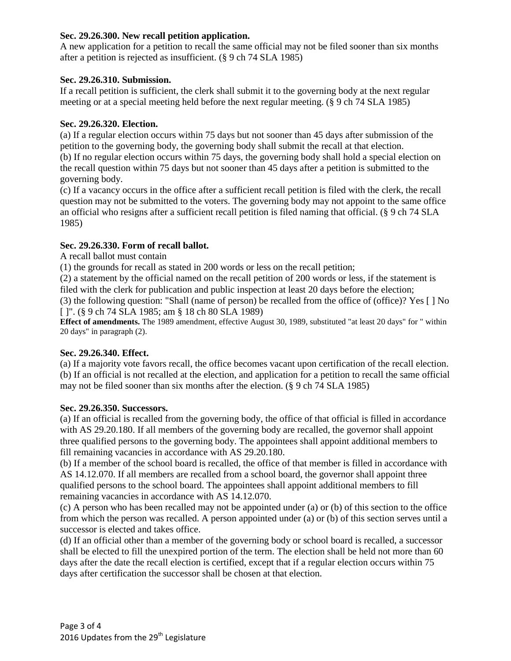#### **Sec. 29.26.300. New recall petition application.**

A new application for a petition to recall the same official may not be filed sooner than six months after a petition is rejected as insufficient. (§ 9 ch 74 SLA 1985)

#### **Sec. 29.26.310. Submission.**

If a recall petition is sufficient, the clerk shall submit it to the governing body at the next regular meeting or at a special meeting held before the next regular meeting. (§ 9 ch 74 SLA 1985)

#### **Sec. 29.26.320. Election.**

(a) If a regular election occurs within 75 days but not sooner than 45 days after submission of the petition to the governing body, the governing body shall submit the recall at that election. (b) If no regular election occurs within 75 days, the governing body shall hold a special election on the recall question within 75 days but not sooner than 45 days after a petition is submitted to the governing body.

(c) If a vacancy occurs in the office after a sufficient recall petition is filed with the clerk, the recall question may not be submitted to the voters. The governing body may not appoint to the same office an official who resigns after a sufficient recall petition is filed naming that official. (§ 9 ch 74 SLA 1985)

#### **Sec. 29.26.330. Form of recall ballot.**

A recall ballot must contain

(1) the grounds for recall as stated in 200 words or less on the recall petition;

(2) a statement by the official named on the recall petition of 200 words or less, if the statement is filed with the clerk for publication and public inspection at least 20 days before the election;

(3) the following question: "Shall (name of person) be recalled from the office of (office)? Yes [ ] No [ ]". (§ 9 ch 74 SLA 1985; am § 18 ch 80 SLA 1989)

**Effect of amendments.** The 1989 amendment, effective August 30, 1989, substituted "at least 20 days" for " within 20 days" in paragraph (2).

#### **Sec. 29.26.340. Effect.**

(a) If a majority vote favors recall, the office becomes vacant upon certification of the recall election. (b) If an official is not recalled at the election, and application for a petition to recall the same official may not be filed sooner than six months after the election. (§ 9 ch 74 SLA 1985)

#### **Sec. 29.26.350. Successors.**

(a) If an official is recalled from the governing body, the office of that official is filled in accordance with AS 29.20.180. If all members of the governing body are recalled, the governor shall appoint three qualified persons to the governing body. The appointees shall appoint additional members to fill remaining vacancies in accordance with AS 29.20.180.

(b) If a member of the school board is recalled, the office of that member is filled in accordance with AS 14.12.070. If all members are recalled from a school board, the governor shall appoint three qualified persons to the school board. The appointees shall appoint additional members to fill remaining vacancies in accordance with AS 14.12.070.

(c) A person who has been recalled may not be appointed under (a) or (b) of this section to the office from which the person was recalled. A person appointed under (a) or (b) of this section serves until a successor is elected and takes office.

(d) If an official other than a member of the governing body or school board is recalled, a successor shall be elected to fill the unexpired portion of the term. The election shall be held not more than 60 days after the date the recall election is certified, except that if a regular election occurs within 75 days after certification the successor shall be chosen at that election.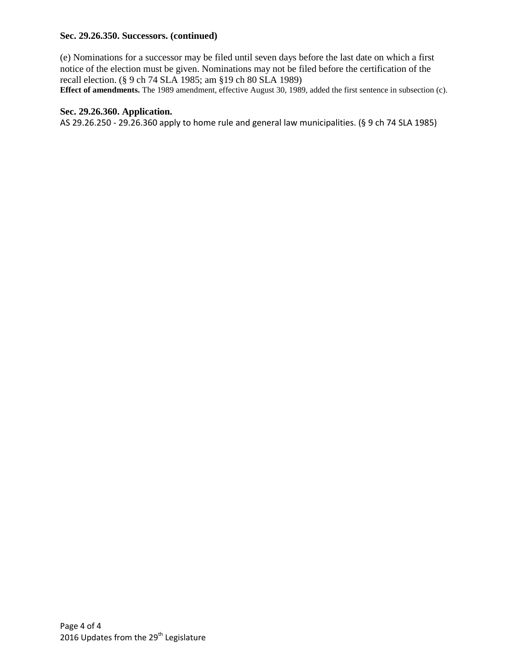#### **Sec. 29.26.350. Successors. (continued)**

(e) Nominations for a successor may be filed until seven days before the last date on which a first notice of the election must be given. Nominations may not be filed before the certification of the recall election. (§ 9 ch 74 SLA 1985; am §19 ch 80 SLA 1989)

**Effect of amendments.** The 1989 amendment, effective August 30, 1989, added the first sentence in subsection (c).

#### **Sec. 29.26.360. Application.**

AS 29.26.250 - 29.26.360 apply to home rule and general law municipalities. (§ 9 ch 74 SLA 1985)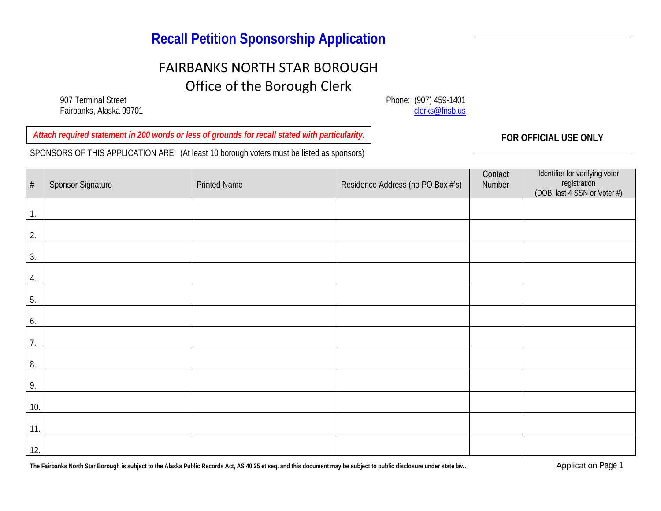### **Recall Petition Sponsorship Application**

## FAIRBANKS NORTH STAR BOROUGH Office of the Borough Clerk

907 Terminal Street Phone: (907) 459-1401<br>Fairbanks, Alaska 99701 Fairbanks, Alaska 99701

**FOR OFFICIAL USE ONLY** *Attach required statement in 200 words or less of grounds for recall stated with particularity.*

SPONSORS OF THIS APPLICATION ARE: (At least 10 borough voters must be listed as sponsors)

# Sponsor Signature | Printed Name | Residence Address (no PO Box #'s) **Contact** Number Identifier for verifying voter registration (DOB, last 4 SSN or Voter #) 1. 2. 3. 4. 5. 6. 7. 8. 9. 10. 11. 12.

The Fairbanks North Star Borough is subject to the Alaska Public Records Act, AS 40.25 et seq. and this document may be subject to public disclosure under state law.<br> **Application Page 1**